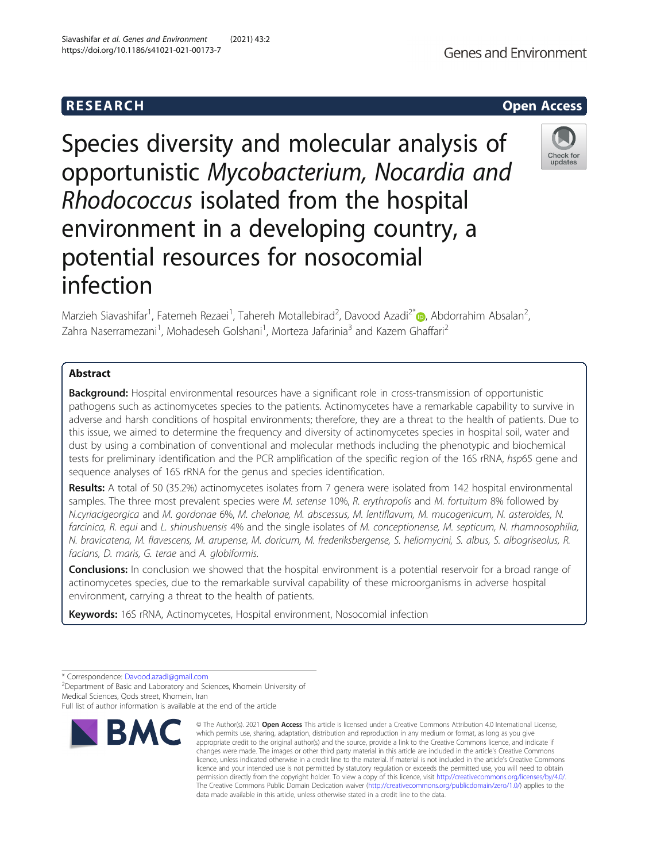# **RESEARCH CHEAR CHEAR CHEAR CHEAR CHEAR CHEAR CHEAR CHEAR CHEAR CHEAR CHEAR CHEAR CHEAR CHEAR CHEAR CHEAR CHEAR**

Species diversity and molecular analysis of opportunistic Mycobacterium, Nocardia and Rhodococcus isolated from the hospital environment in a developing country, a potential resources for nosocomial infection

Marzieh Siavashifar<sup>1</sup>[,](http://orcid.org/0000-0002-7641-7035) Fatemeh Rezaei<sup>1</sup>, Tahereh Motallebirad<sup>2</sup>, Davood Azadi<sup>2\*</sup> (@, Abdorrahim Absalan<sup>2</sup> , Zahra Naserramezani<sup>1</sup>, Mohadeseh Golshani<sup>1</sup>, Morteza Jafarinia<sup>3</sup> and Kazem Ghaffari<sup>2</sup>

## Abstract

**Background:** Hospital environmental resources have a significant role in cross-transmission of opportunistic pathogens such as actinomycetes species to the patients. Actinomycetes have a remarkable capability to survive in adverse and harsh conditions of hospital environments; therefore, they are a threat to the health of patients. Due to this issue, we aimed to determine the frequency and diversity of actinomycetes species in hospital soil, water and dust by using a combination of conventional and molecular methods including the phenotypic and biochemical tests for preliminary identification and the PCR amplification of the specific region of the 16S rRNA, hsp65 gene and sequence analyses of 16S rRNA for the genus and species identification.

Results: A total of 50 (35.2%) actinomycetes isolates from 7 genera were isolated from 142 hospital environmental samples. The three most prevalent species were M. setense 10%, R. erythropolis and M. fortuitum 8% followed by N.cyriacigeorgica and M. gordonae 6%, M. chelonae, M. abscessus, M. lentiflavum, M. mucogenicum, N. asteroides, N. farcinica, R. equi and L. shinushuensis 4% and the single isolates of M. conceptionense, M. septicum, N. rhamnosophilia, N. bravicatena, M. flavescens, M. arupense, M. doricum, M. frederiksbergense, S. heliomycini, S. albus, S. albogriseolus, R. facians, D. maris, G. terae and A. globiformis.

**Conclusions:** In conclusion we showed that the hospital environment is a potential reservoir for a broad range of actinomycetes species, due to the remarkable survival capability of these microorganisms in adverse hospital environment, carrying a threat to the health of patients.

Keywords: 16S rRNA, Actinomycetes, Hospital environment, Nosocomial infection

<sup>2</sup>Department of Basic and Laboratory and Sciences, Khomein University of Medical Sciences, Qods street, Khomein, Iran



<sup>©</sup> The Author(s), 2021 **Open Access** This article is licensed under a Creative Commons Attribution 4.0 International License, which permits use, sharing, adaptation, distribution and reproduction in any medium or format, as long as you give appropriate credit to the original author(s) and the source, provide a link to the Creative Commons licence, and indicate if changes were made. The images or other third party material in this article are included in the article's Creative Commons licence, unless indicated otherwise in a credit line to the material. If material is not included in the article's Creative Commons licence and your intended use is not permitted by statutory regulation or exceeds the permitted use, you will need to obtain permission directly from the copyright holder. To view a copy of this licence, visit [http://creativecommons.org/licenses/by/4.0/.](http://creativecommons.org/licenses/by/4.0/) The Creative Commons Public Domain Dedication waiver [\(http://creativecommons.org/publicdomain/zero/1.0/](http://creativecommons.org/publicdomain/zero/1.0/)) applies to the data made available in this article, unless otherwise stated in a credit line to the data.



**Genes and Environment** 



<sup>\*</sup> Correspondence: [Davood.azadi@gmail.com](mailto:Davood.azadi@gmail.com) <sup>2</sup>

Full list of author information is available at the end of the article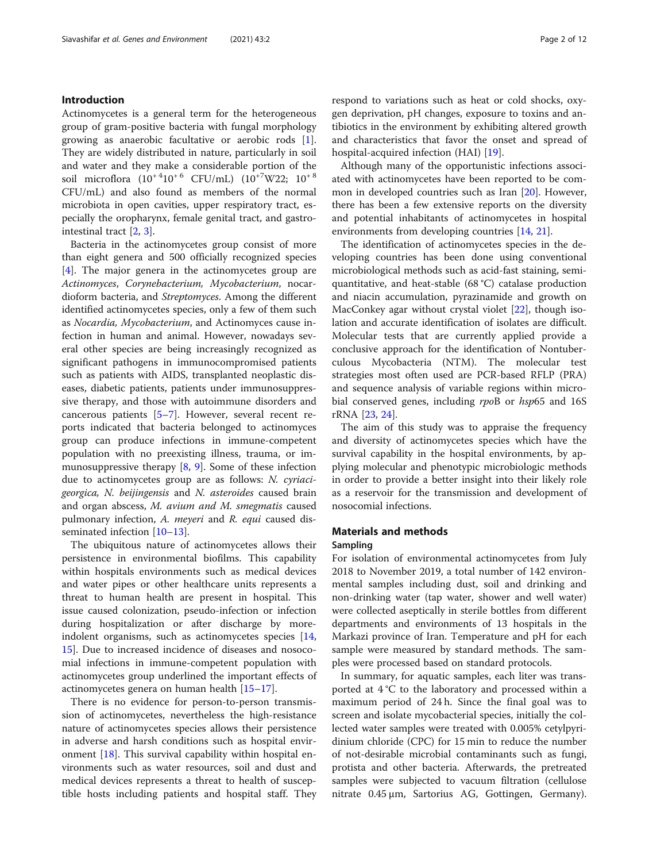## Introduction

Actinomycetes is a general term for the heterogeneous group of gram-positive bacteria with fungal morphology growing as anaerobic facultative or aerobic rods [\[1](#page-9-0)]. They are widely distributed in nature, particularly in soil and water and they make a considerable portion of the soil microflora  $(10^{+4}10^{+6} \text{ CFU/mL})$   $(10^{+7}W22; 10^{+8}$ CFU/mL) and also found as members of the normal microbiota in open cavities, upper respiratory tract, especially the oropharynx, female genital tract, and gastrointestinal tract [[2,](#page-9-0) [3\]](#page-9-0).

Bacteria in the actinomycetes group consist of more than eight genera and 500 officially recognized species [[4\]](#page-9-0). The major genera in the actinomycetes group are Actinomyces, Corynebacterium, Mycobacterium, nocardioform bacteria, and Streptomyces. Among the different identified actinomycetes species, only a few of them such as Nocardia, Mycobacterium, and Actinomyces cause infection in human and animal. However, nowadays several other species are being increasingly recognized as significant pathogens in immunocompromised patients such as patients with AIDS, transplanted neoplastic diseases, diabetic patients, patients under immunosuppressive therapy, and those with autoimmune disorders and cancerous patients [[5](#page-9-0)–[7\]](#page-9-0). However, several recent reports indicated that bacteria belonged to actinomyces group can produce infections in immune-competent population with no preexisting illness, trauma, or immunosuppressive therapy  $[8, 9]$  $[8, 9]$  $[8, 9]$ . Some of these infection due to actinomycetes group are as follows: N. cyriacigeorgica, N. beijingensis and N. asteroides caused brain and organ abscess, M. avium and M. smegmatis caused pulmonary infection, A. meyeri and R. equi caused disseminated infection [\[10](#page-9-0)–[13\]](#page-9-0).

The ubiquitous nature of actinomycetes allows their persistence in environmental biofilms. This capability within hospitals environments such as medical devices and water pipes or other healthcare units represents a threat to human health are present in hospital. This issue caused colonization, pseudo-infection or infection during hospitalization or after discharge by more-indolent organisms, such as actinomycetes species [[14](#page-9-0), [15\]](#page-9-0). Due to increased incidence of diseases and nosocomial infections in immune-competent population with actinomycetes group underlined the important effects of actinomycetes genera on human health [[15](#page-9-0)–[17](#page-10-0)].

There is no evidence for person-to-person transmission of actinomycetes, nevertheless the high-resistance nature of actinomycetes species allows their persistence in adverse and harsh conditions such as hospital environment [[18\]](#page-10-0). This survival capability within hospital environments such as water resources, soil and dust and medical devices represents a threat to health of susceptible hosts including patients and hospital staff. They respond to variations such as heat or cold shocks, oxygen deprivation, pH changes, exposure to toxins and antibiotics in the environment by exhibiting altered growth and characteristics that favor the onset and spread of hospital-acquired infection (HAI) [[19](#page-10-0)].

Although many of the opportunistic infections associated with actinomycetes have been reported to be common in developed countries such as Iran [\[20](#page-10-0)]. However, there has been a few extensive reports on the diversity and potential inhabitants of actinomycetes in hospital environments from developing countries [\[14](#page-9-0), [21](#page-10-0)].

The identification of actinomycetes species in the developing countries has been done using conventional microbiological methods such as acid-fast staining, semiquantitative, and heat-stable (68 °C) catalase production and niacin accumulation, pyrazinamide and growth on MacConkey agar without crystal violet [\[22](#page-10-0)], though isolation and accurate identification of isolates are difficult. Molecular tests that are currently applied provide a conclusive approach for the identification of Nontuberculous Mycobacteria (NTM). The molecular test strategies most often used are PCR-based RFLP (PRA) and sequence analysis of variable regions within microbial conserved genes, including rpoB or hsp65 and 16S rRNA [[23,](#page-10-0) [24\]](#page-10-0).

The aim of this study was to appraise the frequency and diversity of actinomycetes species which have the survival capability in the hospital environments, by applying molecular and phenotypic microbiologic methods in order to provide a better insight into their likely role as a reservoir for the transmission and development of nosocomial infections.

## Materials and methods

#### Sampling

For isolation of environmental actinomycetes from July 2018 to November 2019, a total number of 142 environmental samples including dust, soil and drinking and non-drinking water (tap water, shower and well water) were collected aseptically in sterile bottles from different departments and environments of 13 hospitals in the Markazi province of Iran. Temperature and pH for each sample were measured by standard methods. The samples were processed based on standard protocols.

In summary, for aquatic samples, each liter was transported at 4 °C to the laboratory and processed within a maximum period of 24 h. Since the final goal was to screen and isolate mycobacterial species, initially the collected water samples were treated with 0.005% cetylpyridinium chloride (CPC) for 15 min to reduce the number of not-desirable microbial contaminants such as fungi, protista and other bacteria. Afterwards, the pretreated samples were subjected to vacuum filtration (cellulose nitrate 0.45 μm, Sartorius AG, Gottingen, Germany).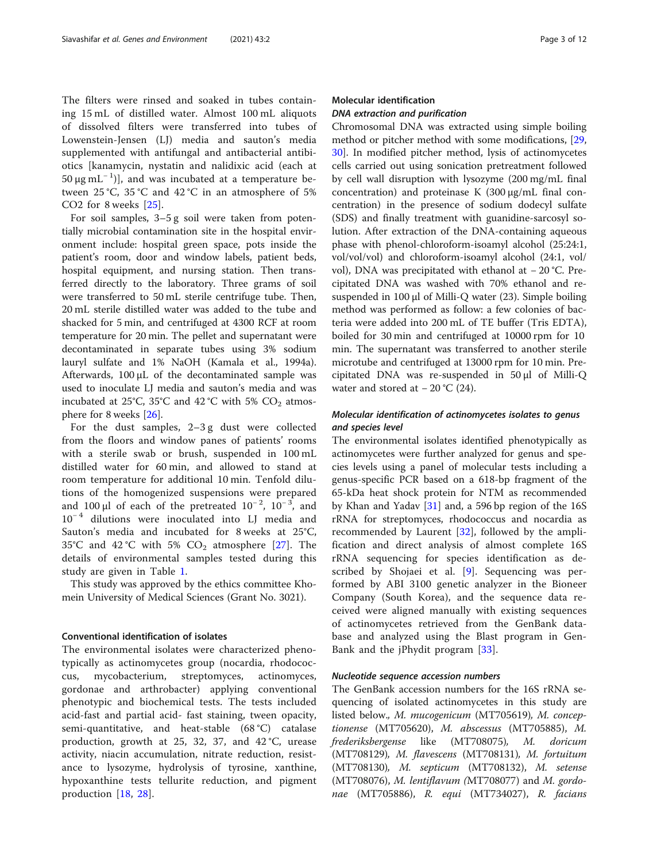The filters were rinsed and soaked in tubes containing 15 mL of distilled water. Almost 100 mL aliquots of dissolved filters were transferred into tubes of Lowenstein-Jensen (LJ) media and sauton's media supplemented with antifungal and antibacterial antibiotics [kanamycin, nystatin and nalidixic acid (each at 50 μg mL<sup>-1</sup>)], and was incubated at a temperature between  $25^{\circ}$ C,  $35^{\circ}$ C and  $42^{\circ}$ C in an atmosphere of 5% CO2 for 8 weeks [[25\]](#page-10-0).

For soil samples, 3–5 g soil were taken from potentially microbial contamination site in the hospital environment include: hospital green space, pots inside the patient's room, door and window labels, patient beds, hospital equipment, and nursing station. Then transferred directly to the laboratory. Three grams of soil were transferred to 50 mL sterile centrifuge tube. Then, 20 mL sterile distilled water was added to the tube and shacked for 5 min, and centrifuged at 4300 RCF at room temperature for 20 min. The pellet and supernatant were decontaminated in separate tubes using 3% sodium lauryl sulfate and 1% NaOH (Kamala et al., 1994a). Afterwards, 100 μL of the decontaminated sample was used to inoculate LJ media and sauton's media and was incubated at 25°C, 35°C and 42°C with 5%  $CO<sub>2</sub>$  atmosphere for 8 weeks [[26](#page-10-0)].

For the dust samples, 2–3 g dust were collected from the floors and window panes of patients' rooms with a sterile swab or brush, suspended in 100 mL distilled water for 60 min, and allowed to stand at room temperature for additional 10 min. Tenfold dilutions of the homogenized suspensions were prepared and 100 µl of each of the pretreated  $10^{-2}$ ,  $10^{-3}$ , and 10<sup>−</sup> <sup>4</sup> dilutions were inoculated into LJ media and Sauton's media and incubated for 8 weeks at 25°C, 35°C and 42°C with 5%  $CO<sub>2</sub>$  atmosphere [[27\]](#page-10-0). The details of environmental samples tested during this study are given in Table [1](#page-3-0).

This study was approved by the ethics committee Khomein University of Medical Sciences (Grant No. 3021).

## Conventional identification of isolates

The environmental isolates were characterized phenotypically as actinomycetes group (nocardia, rhodococcus, mycobacterium, streptomyces, actinomyces, gordonae and arthrobacter) applying conventional phenotypic and biochemical tests. The tests included acid-fast and partial acid- fast staining, tween opacity, semi-quantitative, and heat-stable (68 °C) catalase production, growth at 25, 32, 37, and 42 °C, urease activity, niacin accumulation, nitrate reduction, resistance to lysozyme, hydrolysis of tyrosine, xanthine, hypoxanthine tests tellurite reduction, and pigment production [[18,](#page-10-0) [28](#page-10-0)].

## Molecular identification DNA extraction and purification

Chromosomal DNA was extracted using simple boiling method or pitcher method with some modifications, [[29](#page-10-0), [30\]](#page-10-0). In modified pitcher method, lysis of actinomycetes cells carried out using sonication pretreatment followed by cell wall disruption with lysozyme (200 mg/mL final concentration) and proteinase K (300 μg/mL final concentration) in the presence of sodium dodecyl sulfate (SDS) and finally treatment with guanidine-sarcosyl solution. After extraction of the DNA-containing aqueous phase with phenol-chloroform-isoamyl alcohol (25:24:1, vol/vol/vol) and chloroform-isoamyl alcohol (24:1, vol/ vol), DNA was precipitated with ethanol at − 20 °C. Precipitated DNA was washed with 70% ethanol and resuspended in 100 μl of Milli-Q water (23). Simple boiling method was performed as follow: a few colonies of bacteria were added into 200 mL of TE buffer (Tris EDTA), boiled for 30 min and centrifuged at 10000 rpm for 10 min. The supernatant was transferred to another sterile microtube and centrifuged at 13000 rpm for 10 min. Precipitated DNA was re-suspended in 50 μl of Milli-Q water and stored at  $-20$  °C (24).

## Molecular identification of actinomycetes isolates to genus and species level

The environmental isolates identified phenotypically as actinomycetes were further analyzed for genus and species levels using a panel of molecular tests including a genus-specific PCR based on a 618-bp fragment of the 65-kDa heat shock protein for NTM as recommended by Khan and Yadav [\[31\]](#page-10-0) and, a 596 bp region of the 16S rRNA for streptomyces, rhodococcus and nocardia as recommended by Laurent [[32\]](#page-10-0), followed by the amplification and direct analysis of almost complete 16S rRNA sequencing for species identification as de-scribed by Shojaei et al. [[9\]](#page-9-0). Sequencing was performed by ABI 3100 genetic analyzer in the Bioneer Company (South Korea), and the sequence data received were aligned manually with existing sequences of actinomycetes retrieved from the GenBank database and analyzed using the Blast program in Gen-Bank and the jPhydit program [[33\]](#page-10-0).

#### Nucleotide sequence accession numbers

The GenBank accession numbers for the 16S rRNA sequencing of isolated actinomycetes in this study are listed below., M. mucogenicum (MT705619), M. conceptionense (MT705620), M. abscessus (MT705885), M. frederiksbergense like (MT708075), M. doricum (MT708129), M. flavescens (MT708131), M. fortuitum (MT708130), M. septicum (MT708132), M. setense (MT708076), M. lentiflavum (MT708077) and M. gordonae (MT705886), R. equi (MT734027), R. facians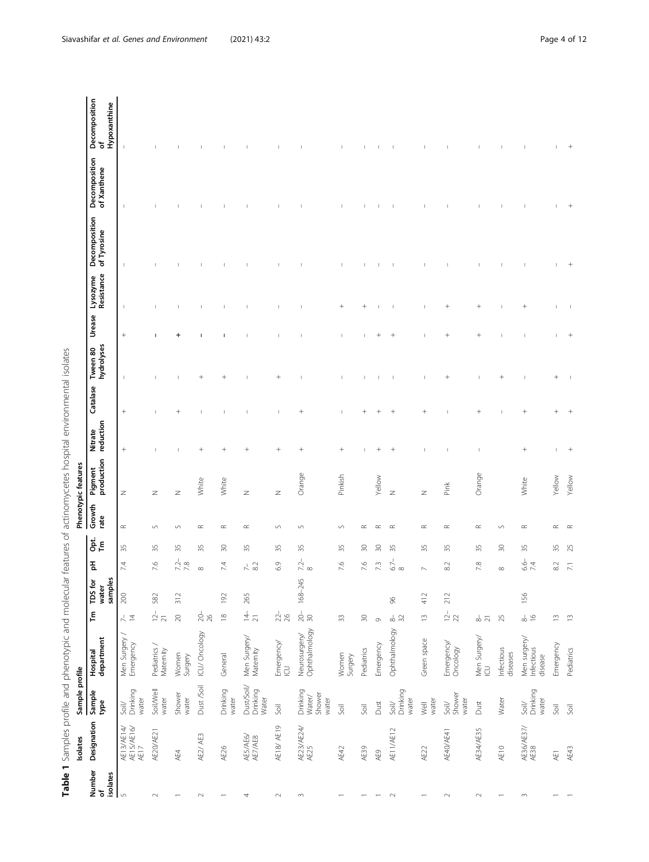Table 1 Samples profile and phenotypic and molecular features of actinomycetes hospital environmental isolates Table 1 Samples profile and phenotypic and molecular features of actinomycetes hospital environmental isolates

<span id="page-3-0"></span>

|                          | Isolates                         | Sample profile                               |                                       |                                                                |                             |                                   |           |                | Phenotypic features   |                      |                          |                          |               |                          |                              |                              |                                    |
|--------------------------|----------------------------------|----------------------------------------------|---------------------------------------|----------------------------------------------------------------|-----------------------------|-----------------------------------|-----------|----------------|-----------------------|----------------------|--------------------------|--------------------------|---------------|--------------------------|------------------------------|------------------------------|------------------------------------|
| Number<br>of<br>isolates | Designation                      | Sample<br>type                               | department<br>Hospital                | $\tilde{\mathsf{F}}$                                           | samples<br>TDS for<br>water | 玉                                 | ăε        | Growth<br>rate | production<br>Pigment | reduction<br>Nitrate | Catalase                 | hydrolyses<br>Tween 80   | <b>Urease</b> | Resistance<br>Lysozyme   | Decomposition<br>of Tyrosine | Decomposition<br>of Xanthene | Decomposition<br>Hypoxanthine<br>৳ |
| $\mathsf{L}\cap$         | AE13/AE14/<br>AE15/AE16/<br>AE17 | Drinking<br>water<br>SoiV                    | Men Surgery /<br>Emergency            | $\frac{1}{4}$                                                  | $200\,$                     | 7.4                               | 35        | $\simeq$       | Z                     | $^{+}$               | $^{+}$                   | $\mathbf{I}$             | $^{+}$        | $\overline{\phantom{a}}$ | $\mathsf I$                  | $\overline{\phantom{a}}$     | $\overline{\phantom{a}}$           |
| $\sim$                   | AE20/AE21                        | Soil/Well<br>water                           | Pediatrics /<br>Maternity             | $\frac{1}{2}$ $\frac{1}{2}$                                    | 582                         | 7.6                               | 35        | $\cup$         | Z                     |                      |                          |                          |               |                          |                              |                              |                                    |
|                          | AE4                              | Shower<br>water                              | Women<br>Surgery                      | $\gtrsim$                                                      | 312                         | $7.\overline{2} - 7.\overline{8}$ | 35        | S              | Z                     | п                    | $^{+}$                   |                          |               |                          |                              |                              |                                    |
| $\sim$                   | AE2/AE3                          | Dust /Soil                                   | ICU/Oncology                          | $\frac{1}{26}$                                                 |                             | ${}^{\circ}$                      | 35        | $\simeq$       | White                 | $^{+}$               |                          | $\overline{\phantom{a}}$ |               |                          |                              |                              |                                    |
|                          | AE26                             | Drinking<br>water                            | General                               | $\frac{\infty}{2}$                                             | 192                         | 7.4                               | $\approx$ | $\simeq$       | White                 | $^{+}$               |                          |                          |               |                          |                              |                              |                                    |
| 4                        | AES/AE6/<br>AE7/AE8              | Dust/Soil/<br>Drinking<br>Water              | Men Surgery/<br>Maternity             | $\frac{1}{4}$                                                  | 265                         | $7 - 82$                          | 35        | $\propto$      | $\geq$                | $^{+}$               |                          |                          |               |                          |                              |                              |                                    |
| $\scriptstyle\sim$       | AE18/ AE19                       | Soil                                         | Emergency/<br>ICU                     | $22 - 26$                                                      |                             | 6.9                               | 55        | $\backsim$     | Z                     | $^{+}$               |                          |                          |               |                          |                              |                              |                                    |
| $\sim$                   | AE23/AE24/<br>AE25               | Drinking<br>Water/<br>Shower<br>water        | Neurosurgery/<br>Ophthalmology        | $\stackrel{1}{\underset{30}{\otimes}}$                         | 168-245                     | $\frac{7.2}{8}$                   | 35        | $\cup$         | Orange                | $^{+}$               | $^{+}$                   |                          |               |                          |                              |                              |                                    |
|                          | AE42                             | Soil                                         | Women<br>Surgery                      | $\approx$                                                      |                             | 7.6                               | 35        | S              | Pinkish               | $^{+}$               | $\overline{\phantom{a}}$ |                          |               | $^{+}$                   |                              |                              |                                    |
|                          | AE39                             | Soil                                         | Pediatrics                            | $\approx$                                                      |                             | 7.6                               | $\approx$ | ≃              |                       |                      |                          |                          |               | $^{+}$                   |                              |                              |                                    |
|                          | AE9                              | Dust                                         | Emergency                             | $\circ$                                                        |                             | 73                                | SO        | $\propto$      | Yellow                |                      |                          |                          |               |                          |                              |                              |                                    |
| $\sim$                   | AE11/AE12                        | Drinking<br>water<br>$\overline{\text{Soi}}$ | Ophthalmology                         | $_{\infty}^{\circ}$ $\stackrel{\sim}{\approx}$                 | $\frac{8}{2}$               | $6.7-$<br>$\infty$                | 35        | $\propto$      | $\geq$                | $^{+}$               |                          |                          | $^{+}$        |                          |                              |                              |                                    |
|                          | AE22                             | water<br>$\overline{\mathbb{R}}$             | Green space                           | $\widetilde{\phantom{a}}$                                      | 412                         | $\sim$                            | 35        | $\propto$      | $\geq$                |                      | $^{+}$                   |                          |               |                          |                              |                              |                                    |
| $\sim$                   | AE40/AE41                        | Shower<br>water<br>$\frac{1}{2}$             | Emergency/<br>Oncology                | $12 - 22$                                                      | 212                         | $\approx$                         | 35        | $\propto$      | Pink                  |                      |                          | $^{+}$                   | $^{+}$        | $^{+}$                   |                              |                              |                                    |
| $\sim$                   | AE34/AE35                        | Dust                                         | Men Surgery/<br>ICU                   | $\stackrel{\scriptscriptstyle\rm l}{\scriptscriptstyle\sim}$ 7 |                             | $7.8$                             | 55        | $\simeq$       | Orange                |                      | $^{+}$                   |                          | $^{+}$        | $^{+}$                   |                              |                              |                                    |
|                          | AE10                             | Water                                        | Infectious<br>diseases                | 25                                                             |                             |                                   | $\approx$ | S              |                       |                      |                          | $\,+\,$                  |               | $\overline{\phantom{a}}$ |                              |                              |                                    |
| $\sim$                   | AE36/AE37/<br>AE38               | Drinking<br>water<br>$\frac{1}{2}$           | Men surgery/<br>Infectious<br>disease | $\frac{1}{8}$                                                  | 156                         | 6.6–<br>$\overline{74}$           | 55        | $\propto$      | White                 | $^{+}$               | $^{+}$                   |                          |               | $^{+}$                   |                              |                              |                                    |
|                          | AE1                              | Soil                                         | Emergency                             | $\widetilde{\Box}$                                             |                             | $8.2\,$                           | 35        | $\propto$      | Yellow                |                      |                          | $^{+}$                   |               | 1                        |                              |                              |                                    |
|                          | AE43                             | $\overline{5}$                               | Pediatrics                            | $\frac{1}{2}$                                                  |                             | 7.1                               | 25        |                | Yellow                | $\overline{+}$       |                          |                          |               | ı                        |                              |                              |                                    |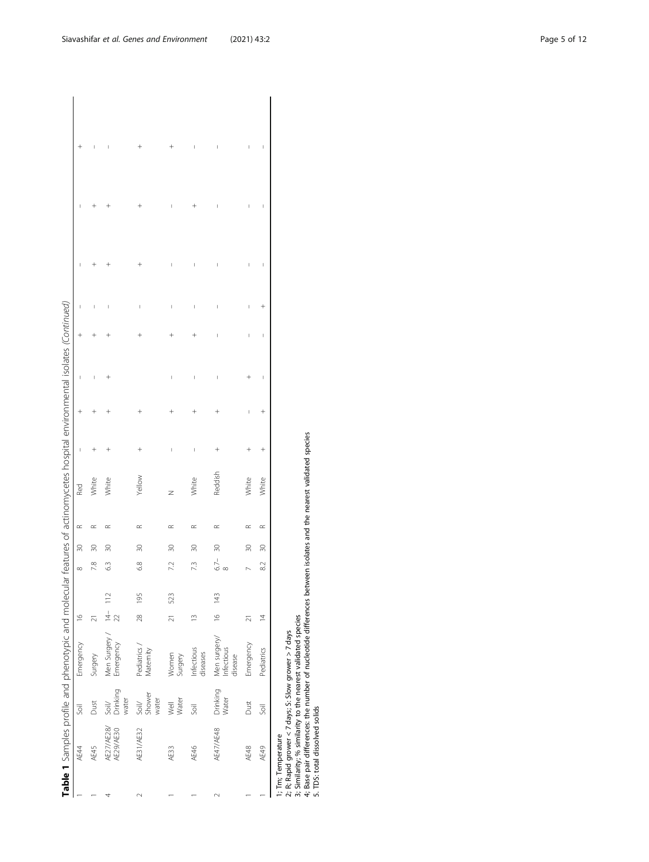|        |                                                      |                               | Table 1 Samples profile and phenotypic and molecular features of actinomycetes hospital environmental isolates (Continued)                                                                                                                |                     |     |                     |           |           |            |                          |                      |   |                                                                                                                                                                                                                                                                                                                                                                                  |        |   |   |   |
|--------|------------------------------------------------------|-------------------------------|-------------------------------------------------------------------------------------------------------------------------------------------------------------------------------------------------------------------------------------------|---------------------|-----|---------------------|-----------|-----------|------------|--------------------------|----------------------|---|----------------------------------------------------------------------------------------------------------------------------------------------------------------------------------------------------------------------------------------------------------------------------------------------------------------------------------------------------------------------------------|--------|---|---|---|
|        | AE44                                                 | Soil                          | Emergency                                                                                                                                                                                                                                 | $\frac{6}{1}$       |     | $\infty$            | $\approx$ | $\simeq$  | <b>Red</b> | I                        | $^{+}$               |   |                                                                                                                                                                                                                                                                                                                                                                                  |        |   |   |   |
|        | AE45                                                 | Dust                          | Surgery                                                                                                                                                                                                                                   | $\overline{z}$      |     | 7.8                 | $\approx$ | $\propto$ | White      |                          |                      |   |                                                                                                                                                                                                                                                                                                                                                                                  |        |   |   |   |
|        | AE27/AE28/<br>AE29/AE30                              | Drinking<br>water<br>$S$ oil/ | Men Surgery /<br>Emergency                                                                                                                                                                                                                | $\frac{14}{22}$ 112 |     | 63                  | 30        | $\approx$ | White      |                          |                      |   |                                                                                                                                                                                                                                                                                                                                                                                  |        |   |   |   |
| $\sim$ | AE31/AE32                                            | Shower<br>water<br>$S$ oil/   | Pediatrics /<br>Maternity                                                                                                                                                                                                                 | $\frac{28}{2}$      | 195 | 6.8                 | $\approx$ | $\approx$ | Yellow     | $\overline{+}$           |                      |   |                                                                                                                                                                                                                                                                                                                                                                                  | I      |   |   |   |
|        | AE33                                                 | Water<br>Well                 | Women<br>Surgery                                                                                                                                                                                                                          | $\overline{z}$      | 523 | 7.2                 | 30        | $\propto$ | z          | J                        |                      |   |                                                                                                                                                                                                                                                                                                                                                                                  | I      |   |   |   |
|        | AE46                                                 | <b>Soil</b>                   | Infectious<br>diseases                                                                                                                                                                                                                    | $\tilde{=}$         |     | 7.3                 | 30        | $\approx$ | White      | $\mid$                   |                      |   |                                                                                                                                                                                                                                                                                                                                                                                  | I      |   |   |   |
| $\sim$ | AE47/AE48                                            | Drinking<br>Water             | Men surgery/<br>Infectious<br>disease                                                                                                                                                                                                     | $\frac{6}{2}$       | 143 | $6.7 -$<br>$\infty$ | 30        | $\propto$ | Reddish    | $\overline{\phantom{a}}$ |                      |   |                                                                                                                                                                                                                                                                                                                                                                                  | I      |   |   |   |
|        | AE48                                                 | Dust                          | Emergency                                                                                                                                                                                                                                 | $\overline{z}$      |     |                     | 30        | $\simeq$  | White      |                          | I                    |   | I                                                                                                                                                                                                                                                                                                                                                                                | I      |   |   |   |
|        | AE49                                                 | Soil                          | Pediatrics                                                                                                                                                                                                                                | $\overline{4}$      |     | 82                  | $\approx$ | $\propto$ | White      | $^{+}$                   | $\ddot{\phantom{1}}$ | J | $\begin{array}{c} \rule{0pt}{2.5ex} \rule{0pt}{2.5ex} \rule{0pt}{2.5ex} \rule{0pt}{2.5ex} \rule{0pt}{2.5ex} \rule{0pt}{2.5ex} \rule{0pt}{2.5ex} \rule{0pt}{2.5ex} \rule{0pt}{2.5ex} \rule{0pt}{2.5ex} \rule{0pt}{2.5ex} \rule{0pt}{2.5ex} \rule{0pt}{2.5ex} \rule{0pt}{2.5ex} \rule{0pt}{2.5ex} \rule{0pt}{2.5ex} \rule{0pt}{2.5ex} \rule{0pt}{2.5ex} \rule{0pt}{2.5ex} \rule{0$ | $^{+}$ | J | I | I |
|        | 5. TDS: total dissolved solids<br>1; Tm; Temperature |                               | 4; Base pair differences: the number of nucleotide differences between isolates and the nearest validated species<br>3; Similarity; % similarity to the nearest validated species<br>2; R; Rapid grower < 7 days; S: Slow grower > 7 days |                     |     |                     |           |           |            |                          |                      |   |                                                                                                                                                                                                                                                                                                                                                                                  |        |   |   |   |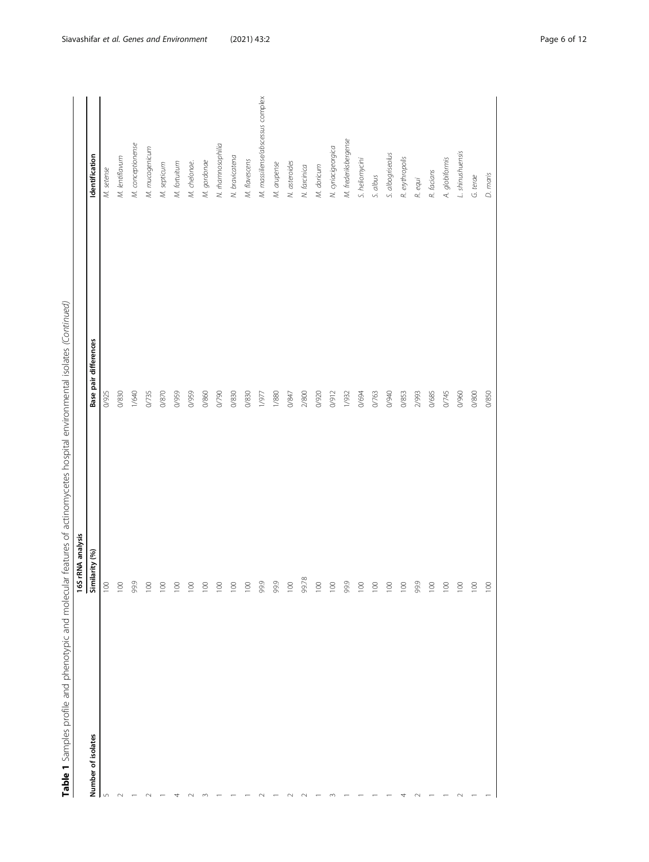| Number of isolates | 16S rRNA analysis<br>Similarity (%) | <b>Base pair differences</b> | Identification                   |
|--------------------|-------------------------------------|------------------------------|----------------------------------|
| $\mathsf{L}\cap$   | $\overline{100}$                    | 0/925                        | M. setense                       |
| $\sim$             | $\overline{100}$                    | 0/830                        | M. lentiflavum                   |
|                    | 99.9                                | 1/640                        | M. conceptionense                |
|                    | $\overline{\circ}$                  | 0/735                        | M. mucogenicum                   |
|                    | 100                                 | 0/870                        | M. septicum                      |
|                    | $\overline{\mathrm{SO}}$            | 0/959                        | M. fortuitum                     |
|                    | $\overline{\circ}$                  | 0/959                        | M. chelonae.                     |
|                    | $\overline{5}$                      | 0/860                        | M. gordonae                      |
|                    | 100                                 | 0/790                        | N. rhamnosophilia                |
|                    | 100                                 | 0/830                        | N. bravicatena                   |
|                    | 100                                 | 0/830                        | M. flavescens                    |
|                    | 99.9                                | 1/977                        | M. massiliense/abscessus complex |
|                    | 99.9                                | 1/880                        | M. arupense                      |
|                    | 100                                 | 0/847                        | N. asteroides                    |
|                    | 99.78                               | 2/800                        | N. farcinica                     |
|                    | 100                                 | 0/920                        | M. doricum                       |
|                    | 100                                 | 0/912                        | N. cyriacigeorgica               |
|                    | 99.9                                | 1/932                        | M. frederiksbergense             |
|                    | $\overline{5}$                      | 0/694                        | S. heliomycini                   |
|                    | 100                                 | 0/763                        | S. albus                         |
|                    | $\overline{100}$                    | 0/940                        | S. albogriseolus                 |
|                    | $\overline{\circ}$                  | 0/853                        | R. erythropolis                  |
|                    | 99.9                                | 2/993                        | R. equi                          |
|                    | $\overline{100}$                    | 0/685                        | R. facians                       |
|                    | $\overline{\circ}$                  | 0/745                        | A. globiformis                   |
|                    | $\overline{100}$                    | 0/960                        | L. shinushuensis                 |
|                    | $\overline{5}$                      | 0/800                        | G. terae                         |
|                    | 100                                 | 0/850                        | D. maris                         |

Table 1 Samples profile and phenotypic and molecular features of actinomycetes hospital environmental isolates (Continued) Table 1 Samples profile and phenotypic and molecular features of actinomycetes hospital environmental isolates (Continued)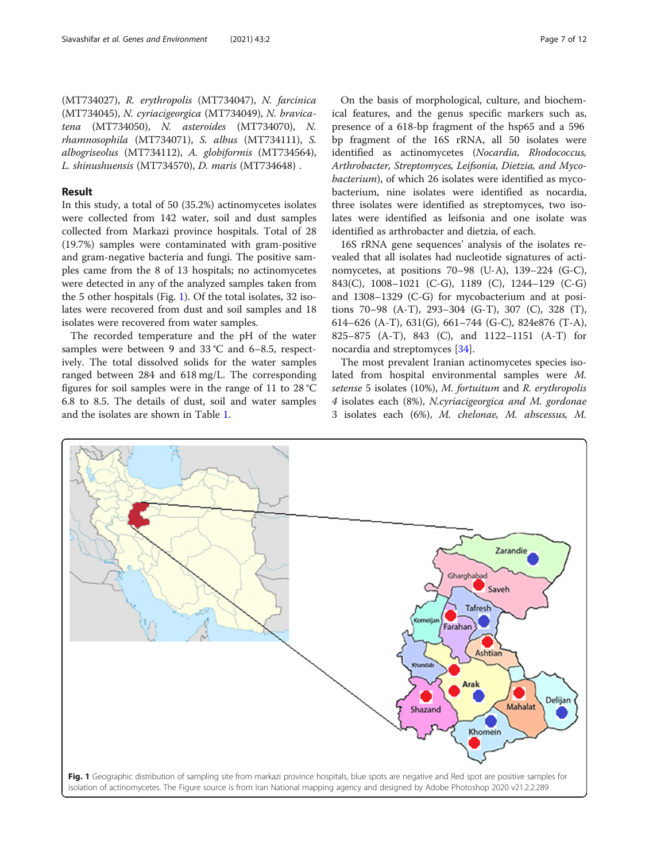(MT734027), R. erythropolis (MT734047), N. farcinica (MT734045), N. cyriacigeorgica (MT734049), N. bravicatena (MT734050), N. asteroides (MT734070), N. rhamnosophila (MT734071), S. albus (MT734111), S. albogriseolus (MT734112), A. globiformis (MT734564), L. shinushuensis (MT734570), D. maris (MT734648) .

## Result

In this study, a total of 50 (35.2%) actinomycetes isolates were collected from 142 water, soil and dust samples collected from Markazi province hospitals. Total of 28 (19.7%) samples were contaminated with gram-positive and gram-negative bacteria and fungi. The positive samples came from the 8 of 13 hospitals; no actinomycetes were detected in any of the analyzed samples taken from the 5 other hospitals (Fig. 1). Of the total isolates, 32 isolates were recovered from dust and soil samples and 18 isolates were recovered from water samples.

The recorded temperature and the pH of the water samples were between 9 and 33 °C and 6–8.5, respectively. The total dissolved solids for the water samples ranged between 284 and 618 mg/L. The corresponding figures for soil samples were in the range of 11 to 28 °C 6.8 to 8.5. The details of dust, soil and water samples and the isolates are shown in Table [1.](#page-3-0)

On the basis of morphological, culture, and biochemical features, and the genus specific markers such as, presence of a 618-bp fragment of the hsp65 and a 596 bp fragment of the 16S rRNA, all 50 isolates were identified as actinomycetes (Nocardia, Rhodococcus,

Arthrobacter, Streptomyces, Leifsonia, Dietzia, and Mycobacterium), of which 26 isolates were identified as mycobacterium, nine isolates were identified as nocardia, three isolates were identified as streptomyces, two isolates were identified as leifsonia and one isolate was identified as arthrobacter and dietzia, of each.

16S rRNA gene sequences' analysis of the isolates revealed that all isolates had nucleotide signatures of actinomycetes, at positions 70–98 (U-A), 139–224 (G-C), 843(C), 1008–1021 (C-G), 1189 (C), 1244–129 (C-G) and 1308–1329 (C-G) for mycobacterium and at positions 70–98 (A-T), 293–304 (G-T), 307 (C), 328 (T), 614–626 (A-T), 631(G), 661–744 (G-C), 824e876 (T-A), 825–875 (A-T), 843 (C), and 1122–1151 (A-T) for nocardia and streptomyces [[34](#page-10-0)].

The most prevalent Iranian actinomycetes species isolated from hospital environmental samples were M. setense 5 isolates (10%), M. fortuitum and R. erythropolis 4 isolates each (8%), N.cyriacigeorgica and M. gordonae 3 isolates each (6%), M. chelonae, M. abscessus, M.

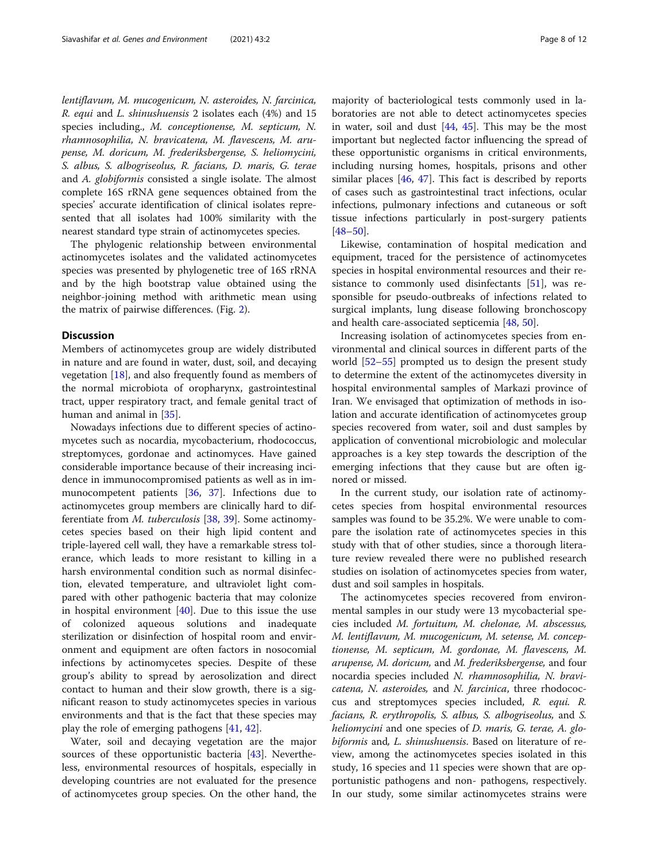lentiflavum, M. mucogenicum, N. asteroides, N. farcinica, R. equi and L. shinushuensis 2 isolates each (4%) and 15 species including., M. conceptionense, M. septicum, N. rhamnosophilia, N. bravicatena, M. flavescens, M. arupense, M. doricum, M. frederiksbergense, S. heliomycini, S. albus, S. albogriseolus, R. facians, D. maris, G. terae and A. globiformis consisted a single isolate. The almost complete 16S rRNA gene sequences obtained from the species' accurate identification of clinical isolates represented that all isolates had 100% similarity with the nearest standard type strain of actinomycetes species.

The phylogenic relationship between environmental actinomycetes isolates and the validated actinomycetes species was presented by phylogenetic tree of 16S rRNA and by the high bootstrap value obtained using the neighbor-joining method with arithmetic mean using the matrix of pairwise differences. (Fig. [2](#page-8-0)).

#### **Discussion**

Members of actinomycetes group are widely distributed in nature and are found in water, dust, soil, and decaying vegetation  $[18]$  $[18]$  $[18]$ , and also frequently found as members of the normal microbiota of oropharynx, gastrointestinal tract, upper respiratory tract, and female genital tract of human and animal in [[35\]](#page-10-0).

Nowadays infections due to different species of actinomycetes such as nocardia, mycobacterium, rhodococcus, streptomyces, gordonae and actinomyces. Have gained considerable importance because of their increasing incidence in immunocompromised patients as well as in immunocompetent patients [[36,](#page-10-0) [37](#page-10-0)]. Infections due to actinomycetes group members are clinically hard to differentiate from M. tuberculosis [[38,](#page-10-0) [39\]](#page-10-0). Some actinomycetes species based on their high lipid content and triple-layered cell wall, they have a remarkable stress tolerance, which leads to more resistant to killing in a harsh environmental condition such as normal disinfection, elevated temperature, and ultraviolet light compared with other pathogenic bacteria that may colonize in hospital environment  $[40]$  $[40]$  $[40]$ . Due to this issue the use of colonized aqueous solutions and inadequate sterilization or disinfection of hospital room and environment and equipment are often factors in nosocomial infections by actinomycetes species. Despite of these group's ability to spread by aerosolization and direct contact to human and their slow growth, there is a significant reason to study actinomycetes species in various environments and that is the fact that these species may play the role of emerging pathogens [\[41](#page-10-0), [42\]](#page-10-0).

Water, soil and decaying vegetation are the major sources of these opportunistic bacteria [[43\]](#page-10-0). Nevertheless, environmental resources of hospitals, especially in developing countries are not evaluated for the presence of actinomycetes group species. On the other hand, the

majority of bacteriological tests commonly used in laboratories are not able to detect actinomycetes species in water, soil and dust  $[44, 45]$  $[44, 45]$  $[44, 45]$  $[44, 45]$ . This may be the most important but neglected factor influencing the spread of these opportunistic organisms in critical environments, including nursing homes, hospitals, prisons and other similar places [[46,](#page-10-0) [47\]](#page-10-0). This fact is described by reports of cases such as gastrointestinal tract infections, ocular infections, pulmonary infections and cutaneous or soft tissue infections particularly in post-surgery patients [[48](#page-10-0)–[50](#page-10-0)].

Likewise, contamination of hospital medication and equipment, traced for the persistence of actinomycetes species in hospital environmental resources and their resistance to commonly used disinfectants [[51](#page-10-0)], was responsible for pseudo-outbreaks of infections related to surgical implants, lung disease following bronchoscopy and health care-associated septicemia [[48](#page-10-0), [50](#page-10-0)].

Increasing isolation of actinomycetes species from environmental and clinical sources in different parts of the world [\[52](#page-10-0)–[55\]](#page-10-0) prompted us to design the present study to determine the extent of the actinomycetes diversity in hospital environmental samples of Markazi province of Iran. We envisaged that optimization of methods in isolation and accurate identification of actinomycetes group species recovered from water, soil and dust samples by application of conventional microbiologic and molecular approaches is a key step towards the description of the emerging infections that they cause but are often ignored or missed.

In the current study, our isolation rate of actinomycetes species from hospital environmental resources samples was found to be 35.2%. We were unable to compare the isolation rate of actinomycetes species in this study with that of other studies, since a thorough literature review revealed there were no published research studies on isolation of actinomycetes species from water, dust and soil samples in hospitals.

The actinomycetes species recovered from environmental samples in our study were 13 mycobacterial species included M. fortuitum, M. chelonae, M. abscessus, M. lentiflavum, M. mucogenicum, M. setense, M. conceptionense, M. septicum, M. gordonae, M. flavescens, M. arupense, M. doricum, and M. frederiksbergense, and four nocardia species included N. rhamnosophilia, N. bravicatena, N. asteroides, and N. farcinica, three rhodococcus and streptomyces species included, R. equi. R. facians, R. erythropolis, S. albus, S. albogriseolus, and S. heliomycini and one species of *D. maris*, *G. terae*, *A. glo*biformis and, L. shinushuensis. Based on literature of review, among the actinomycetes species isolated in this study, 16 species and 11 species were shown that are opportunistic pathogens and non- pathogens, respectively. In our study, some similar actinomycetes strains were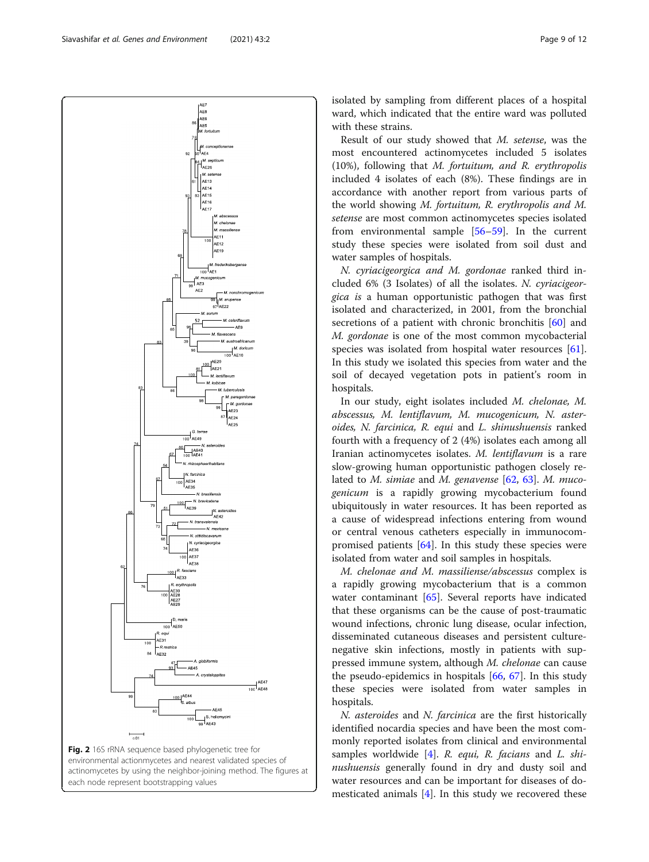<span id="page-8-0"></span>Siavashifar et al. Genes and Environment (2021) 43:2





isolated by sampling from different places of a hospital ward, which indicated that the entire ward was polluted with these strains.

Result of our study showed that M. setense, was the most encountered actinomycetes included 5 isolates (10%), following that M. fortuitum, and R. erythropolis included 4 isolates of each (8%). These findings are in accordance with another report from various parts of the world showing M. fortuitum, R. erythropolis and M. setense are most common actinomycetes species isolated from environmental sample [[56](#page-10-0)–[59](#page-10-0)]. In the current study these species were isolated from soil dust and water samples of hospitals.

N. cyriacigeorgica and M. gordonae ranked third included 6% (3 Isolates) of all the isolates. N. cyriacigeorgica is a human opportunistic pathogen that was first isolated and characterized, in 2001, from the bronchial secretions of a patient with chronic bronchitis [[60](#page-10-0)] and M. gordonae is one of the most common mycobacterial species was isolated from hospital water resources [\[61](#page-10-0)]. In this study we isolated this species from water and the soil of decayed vegetation pots in patient's room in hospitals.

In our study, eight isolates included M. chelonae, M. abscessus, M. lentiflavum, M. mucogenicum, N. asteroides, N. farcinica, R. equi and L. shinushuensis ranked fourth with a frequency of 2 (4%) isolates each among all Iranian actinomycetes isolates. M. lentiflavum is a rare slow-growing human opportunistic pathogen closely related to M. simiae and M. genavense  $[62, 63]$  $[62, 63]$  $[62, 63]$ . M. mucogenicum is a rapidly growing mycobacterium found ubiquitously in water resources. It has been reported as a cause of widespread infections entering from wound or central venous catheters especially in immunocompromised patients  $[64]$  $[64]$ . In this study these species were isolated from water and soil samples in hospitals.

M. chelonae and M. massiliense/abscessus complex is a rapidly growing mycobacterium that is a common water contaminant [\[65\]](#page-11-0). Several reports have indicated that these organisms can be the cause of post-traumatic wound infections, chronic lung disease, ocular infection, disseminated cutaneous diseases and persistent culturenegative skin infections, mostly in patients with suppressed immune system, although M. chelonae can cause the pseudo-epidemics in hospitals [[66,](#page-11-0) [67](#page-11-0)]. In this study these species were isolated from water samples in hospitals.

N. asteroides and N. farcinica are the first historically identified nocardia species and have been the most commonly reported isolates from clinical and environmental samples worldwide  $[4]$  $[4]$  $[4]$ . R. equi, R. facians and L. shinushuensis generally found in dry and dusty soil and water resources and can be important for diseases of domesticated animals  $[4]$  $[4]$ . In this study we recovered these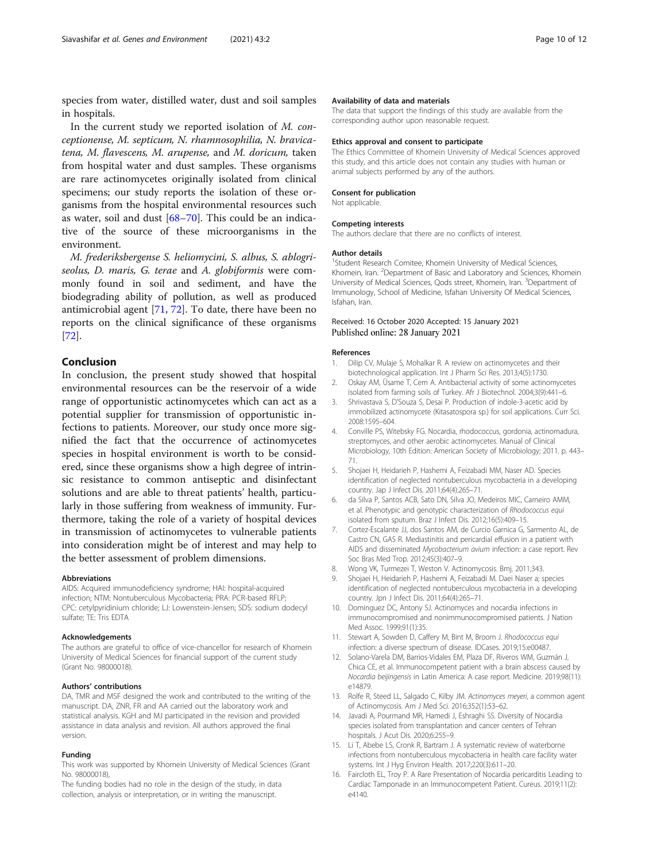<span id="page-9-0"></span>species from water, distilled water, dust and soil samples in hospitals.

In the current study we reported isolation of M. conceptionense, M. septicum, N. rhamnosophilia, N. bravicatena, M. flavescens, M. arupense, and M. doricum, taken from hospital water and dust samples. These organisms are rare actinomycetes originally isolated from clinical specimens; our study reports the isolation of these organisms from the hospital environmental resources such as water, soil and dust [\[68](#page-11-0)–[70\]](#page-11-0). This could be an indicative of the source of these microorganisms in the environment.

M. frederiksbergense S. heliomycini, S. albus, S. ablogriseolus, D. maris, G. terae and A. globiformis were commonly found in soil and sediment, and have the biodegrading ability of pollution, as well as produced antimicrobial agent [\[71,](#page-11-0) [72\]](#page-11-0). To date, there have been no reports on the clinical significance of these organisms [[72\]](#page-11-0).

## Conclusion

In conclusion, the present study showed that hospital environmental resources can be the reservoir of a wide range of opportunistic actinomycetes which can act as a potential supplier for transmission of opportunistic infections to patients. Moreover, our study once more signified the fact that the occurrence of actinomycetes species in hospital environment is worth to be considered, since these organisms show a high degree of intrinsic resistance to common antiseptic and disinfectant solutions and are able to threat patients' health, particularly in those suffering from weakness of immunity. Furthermore, taking the role of a variety of hospital devices in transmission of actinomycetes to vulnerable patients into consideration might be of interest and may help to the better assessment of problem dimensions.

#### Abbreviations

AIDS: Acquired immunodeficiency syndrome; HAI: hospital-acquired infection; NTM: Nontuberculous Mycobacteria; PRA: PCR-based RFLP; CPC: cetylpyridinium chloride; LJ: Lowenstein-Jensen; SDS: sodium dodecyl sulfate; TE: Tris EDTA

#### Acknowledgements

The authors are grateful to office of vice-chancellor for research of Khomein University of Medical Sciences for financial support of the current study (Grant No. 98000018).

#### Authors' contributions

DA, TMR and MSF designed the work and contributed to the writing of the manuscript. DA, ZNR, FR and AA carried out the laboratory work and statistical analysis. KGH and MJ participated in the revision and provided assistance in data analysis and revision. All authors approved the final version.

#### Funding

This work was supported by Khomein University of Medical Sciences (Grant No. 98000018),

The funding bodies had no role in the design of the study, in data collection, analysis or interpretation, or in writing the manuscript.

#### Availability of data and materials

The data that support the findings of this study are available from the corresponding author upon reasonable request.

#### Ethics approval and consent to participate

The Ethics Committee of Khomein University of Medical Sciences approved this study, and this article does not contain any studies with human or animal subjects performed by any of the authors.

#### Consent for publication

Not applicable.

#### Competing interests

The authors declare that there are no conflicts of interest.

#### Author details

<sup>1</sup>Student Research Comitee, Khomein University of Medical Sciences Khomein, Iran. <sup>2</sup>Department of Basic and Laboratory and Sciences, Khomein University of Medical Sciences, Qods street, Khomein, Iran. <sup>3</sup>Department of Immunology, School of Medicine, Isfahan University Of Medical Sciences, Isfahan, Iran.

### Received: 16 October 2020 Accepted: 15 January 2021 Published online: 28 January 2021

#### References

- 1. Dilip CV, Mulaje S, Mohalkar R. A review on actinomycetes and their biotechnological application. Int J Pharm Sci Res. 2013;4(5):1730.
- 2. Oskay AM, Üsame T, Cem A. Antibacterial activity of some actinomycetes isolated from farming soils of Turkey. Afr J Biotechnol. 2004;3(9):441–6.
- 3. Shrivastava S, D'Souza S, Desai P. Production of indole-3-acetic acid by immobilized actinomycete (Kitasatospora sp.) for soil applications. Curr Sci. 2008:1595–604.
- 4. Conville PS, Witebsky FG. Nocardia, rhodococcus, gordonia, actinomadura, streptomyces, and other aerobic actinomycetes. Manual of Clinical Microbiology, 10th Edition: American Society of Microbiology; 2011. p. 443– 71.
- 5. Shojaei H, Heidarieh P, Hashemi A, Feizabadi MM, Naser AD. Species identification of neglected nontuberculous mycobacteria in a developing country. Jap J Infect Dis. 2011;64(4):265–71.
- 6. da Silva P, Santos ACB, Sato DN, Silva JO, Medeiros MIC, Carneiro AMM, et al. Phenotypic and genotypic characterization of Rhodococcus equi isolated from sputum. Braz J Infect Dis. 2012;16(5):409–15.
- 7. Cortez-Escalante JJ, dos Santos AM, de Curcio Garnica G, Sarmento AL, de Castro CN, GAS R. Mediastinitis and pericardial effusion in a patient with AIDS and disseminated Mycobacterium avium infection: a case report. Rev Soc Bras Med Trop. 2012;45(3):407–9.
- 8. Wong VK, Turmezei T, Weston V. Actinomycosis. Bmj. 2011;343.
- 9. Shojaei H, Heidarieh P, Hashemi A, Feizabadi M. Daei Naser a; species identification of neglected nontuberculous mycobacteria in a developing country. Jpn J Infect Dis. 2011;64(4):265–71.
- 10. Dominguez DC, Antony SJ. Actinomyces and nocardia infections in immunocompromised and nonimmunocompromised patients. J Nation Med Assoc. 1999;91(1):35.
- 11. Stewart A, Sowden D, Caffery M, Bint M, Broom J. Rhodococcus equi infection: a diverse spectrum of disease. IDCases. 2019;15:e00487.
- 12. Solano-Varela DM, Barrios-Vidales EM, Plaza DF, Riveros WM, Guzmán J, Chica CE, et al. Immunocompetent patient with a brain abscess caused by Nocardia beijingensis in Latin America: A case report. Medicine. 2019;98(11): e14879.
- 13. Rolfe R, Steed LL, Salgado C, Kilby JM. Actinomyces meyeri, a common agent of Actinomycosis. Am J Med Sci. 2016;352(1):53–62.
- 14. Javadi A, Pourmand MR, Hamedi J, Eshraghi SS. Diversity of Nocardia species isolated from transplantation and cancer centers of Tehran hospitals. J Acut Dis. 2020;6:255–9.
- 15. Li T, Abebe LS, Cronk R, Bartram J. A systematic review of waterborne infections from nontuberculous mycobacteria in health care facility water systems. Int J Hyg Environ Health. 2017;220(3):611–20.
- 16. Faircloth EL, Troy P. A Rare Presentation of Nocardia pericarditis Leading to Cardiac Tamponade in an Immunocompetent Patient. Cureus. 2019;11(2): e4140.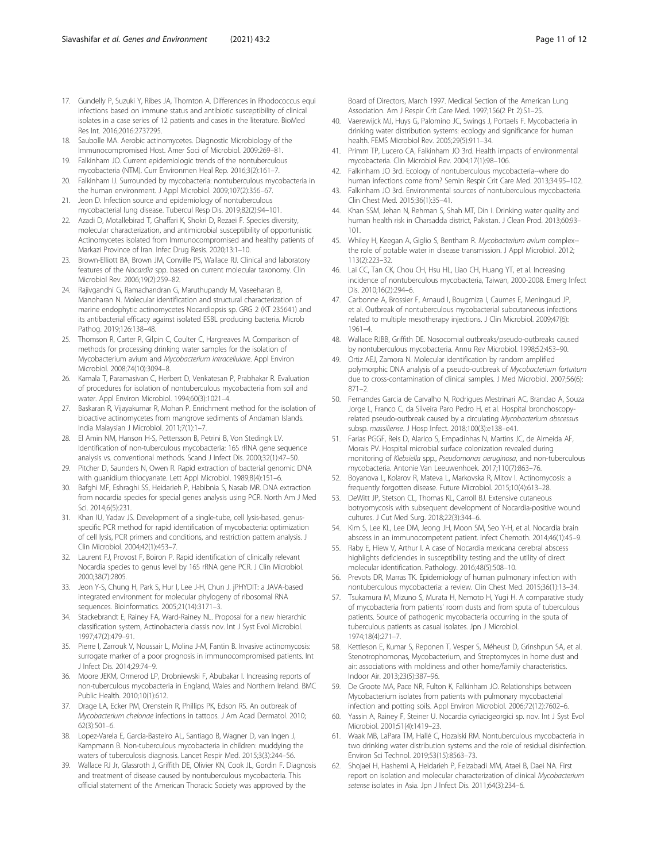- <span id="page-10-0"></span>17. Gundelly P, Suzuki Y, Ribes JA, Thornton A. Differences in Rhodococcus equi infections based on immune status and antibiotic susceptibility of clinical isolates in a case series of 12 patients and cases in the literature. BioMed Res Int. 2016;2016:2737295.
- 18. Saubolle MA. Aerobic actinomycetes. Diagnostic Microbiology of the Immunocompromised Host. Amer Soci of Microbiol. 2009:269–81.
- 19. Falkinham JO. Current epidemiologic trends of the nontuberculous mycobacteria (NTM). Curr Environmen Heal Rep. 2016;3(2):161–7.
- 20. Falkinham IJ. Surrounded by mycobacteria: nontuberculous mycobacteria in the human environment. J Appl Microbiol. 2009;107(2):356–67.
- 21. Jeon D. Infection source and epidemiology of nontuberculous mycobacterial lung disease. Tubercul Resp Dis. 2019;82(2):94–101.
- 22. Azadi D, Motallebirad T, Ghaffari K, Shokri D, Rezaei F. Species diversity, molecular characterization, and antimicrobial susceptibility of opportunistic Actinomycetes isolated from Immunocompromised and healthy patients of Markazi Province of Iran. Infec Drug Resis. 2020;13:1–10.
- 23. Brown-Elliott BA, Brown JM, Conville PS, Wallace RJ. Clinical and laboratory features of the Nocardia spp. based on current molecular taxonomy. Clin Microbiol Rev. 2006;19(2):259–82.
- 24. Rajivgandhi G, Ramachandran G, Maruthupandy M, Vaseeharan B, Manoharan N. Molecular identification and structural characterization of marine endophytic actinomycetes Nocardiopsis sp. GRG 2 (KT 235641) and its antibacterial efficacy against isolated ESBL producing bacteria. Microb Pathog. 2019;126:138–48.
- 25. Thomson R, Carter R, Gilpin C, Coulter C, Hargreaves M. Comparison of methods for processing drinking water samples for the isolation of Mycobacterium avium and Mycobacterium intracellulare. Appl Environ Microbiol. 2008;74(10):3094–8.
- 26. Kamala T, Paramasivan C, Herbert D, Venkatesan P, Prabhakar R. Evaluation of procedures for isolation of nontuberculous mycobacteria from soil and water. Appl Environ Microbiol. 1994;60(3):1021–4.
- 27. Baskaran R, Vijayakumar R, Mohan P. Enrichment method for the isolation of bioactive actinomycetes from mangrove sediments of Andaman Islands. India Malaysian J Microbiol. 2011;7(1):1–7.
- 28. El Amin NM, Hanson H-S, Pettersson B, Petrini B, Von Stedingk LV. Identification of non-tuberculous mycobacteria: 16S rRNA gene sequence analysis vs. conventional methods. Scand J Infect Dis. 2000;32(1):47–50.
- 29. Pitcher D, Saunders N, Owen R. Rapid extraction of bacterial genomic DNA with guanidium thiocyanate. Lett Appl Microbiol. 1989;8(4):151–6.
- 30. Bafghi MF, Eshraghi SS, Heidarieh P, Habibnia S, Nasab MR. DNA extraction from nocardia species for special genes analysis using PCR. North Am J Med Sci. 2014;6(5):231.
- 31. Khan IU, Yadav JS. Development of a single-tube, cell lysis-based, genusspecific PCR method for rapid identification of mycobacteria: optimization of cell lysis, PCR primers and conditions, and restriction pattern analysis. J Clin Microbiol. 2004;42(1):453–7.
- 32. Laurent FJ, Provost F, Boiron P. Rapid identification of clinically relevant Nocardia species to genus level by 16S rRNA gene PCR. J Clin Microbiol. 2000;38(7):2805.
- 33. Jeon Y-S, Chung H, Park S, Hur I, Lee J-H, Chun J. jPHYDIT: a JAVA-based integrated environment for molecular phylogeny of ribosomal RNA sequences. Bioinformatics. 2005;21(14):3171–3.
- 34. Stackebrandt E, Rainey FA, Ward-Rainey NL. Proposal for a new hierarchic classification system, Actinobacteria classis nov. Int J Syst Evol Microbiol. 1997;47(2):479–91.
- 35. Pierre I, Zarrouk V, Noussair L, Molina J-M, Fantin B. Invasive actinomycosis: surrogate marker of a poor prognosis in immunocompromised patients. Int J Infect Dis. 2014;29:74–9.
- 36. Moore JEKM, Ormerod LP, Drobniewski F, Abubakar I. Increasing reports of non-tuberculous mycobacteria in England, Wales and Northern Ireland. BMC Public Health. 2010;10(1):612.
- 37. Drage LA, Ecker PM, Orenstein R, Phillips PK, Edson RS. An outbreak of Mycobacterium chelonae infections in tattoos. J Am Acad Dermatol. 2010; 62(3):501–6.
- 38. Lopez-Varela E, Garcia-Basteiro AL, Santiago B, Wagner D, van Ingen J, Kampmann B. Non-tuberculous mycobacteria in children: muddying the waters of tuberculosis diagnosis. Lancet Respir Med. 2015;3(3):244–56.
- 39. Wallace RJ Jr, Glassroth J, Griffith DE, Olivier KN, Cook JL, Gordin F. Diagnosis and treatment of disease caused by nontuberculous mycobacteria. This official statement of the American Thoracic Society was approved by the

Board of Directors, March 1997. Medical Section of the American Lung Association. Am J Respir Crit Care Med. 1997;156(2 Pt 2):S1–25.

- 40. Vaerewijck MJ, Huys G, Palomino JC, Swings J, Portaels F. Mycobacteria in drinking water distribution systems: ecology and significance for human health. FEMS Microbiol Rev. 2005;29(5):911–34.
- 41. Primm TP, Lucero CA, Falkinham JO 3rd. Health impacts of environmental mycobacteria. Clin Microbiol Rev. 2004;17(1):98–106.
- 42. Falkinham JO 3rd. Ecology of nontuberculous mycobacteria--where do human infections come from? Semin Respir Crit Care Med. 2013;34:95–102.
- 43. Falkinham JO 3rd. Environmental sources of nontuberculous mycobacteria. Clin Chest Med. 2015;36(1):35–41.
- 44. Khan SSM, Jehan N, Rehman S, Shah MT, Din I. Drinking water quality and human health risk in Charsadda district, Pakistan. J Clean Prod. 2013;60:93– 101.
- 45. Whiley H, Keegan A, Giglio S, Bentham R. Mycobacterium avium complex-the role of potable water in disease transmission. J Appl Microbiol. 2012; 113(2):223–32.
- 46. Lai CC, Tan CK, Chou CH, Hsu HL, Liao CH, Huang YT, et al. Increasing incidence of nontuberculous mycobacteria, Taiwan, 2000-2008. Emerg Infect Dis. 2010;16(2):294–6.
- 47. Carbonne A, Brossier F, Arnaud I, Bougmiza I, Caumes E, Meningaud JP, et al. Outbreak of nontuberculous mycobacterial subcutaneous infections related to multiple mesotherapy injections. J Clin Microbiol. 2009;47(6): 1961–4.
- 48. Wallace RJBB, Griffith DE. Nosocomial outbreaks/pseudo-outbreaks caused by nontuberculous mycobacteria. Annu Rev Microbiol. 1998;52:453–90.
- 49. Ortiz AEJ, Zamora N. Molecular identification by random amplified polymorphic DNA analysis of a pseudo-outbreak of Mycobacterium fortuitum due to cross-contamination of clinical samples. J Med Microbiol. 2007;56(6): 871–2.
- 50. Fernandes Garcia de Carvalho N, Rodrigues Mestrinari AC, Brandao A, Souza Jorge L, Franco C, da Silveira Paro Pedro H, et al. Hospital bronchoscopyrelated pseudo-outbreak caused by a circulating Mycobacterium abscessus subsp. massiliense. J Hosp Infect. 2018;100(3):e138–e41.
- 51. Farias PGGF, Reis D, Alarico S, Empadinhas N, Martins JC, de Almeida AF, Morais PV. Hospital microbial surface colonization revealed during monitoring of Klebsiella spp., Pseudomonas aeruginosa, and non-tuberculous mycobacteria. Antonie Van Leeuwenhoek. 2017;110(7):863–76.
- 52. Boyanova L, Kolarov R, Mateva L, Markovska R, Mitov I. Actinomycosis: a frequently forgotten disease. Future Microbiol. 2015;10(4):613–28.
- 53. DeWitt JP, Stetson CL, Thomas KL, Carroll BJ. Extensive cutaneous botryomycosis with subsequent development of Nocardia-positive wound cultures. J Cut Med Surg. 2018;22(3):344–6.
- 54. Kim S, Lee KL, Lee DM, Jeong JH, Moon SM, Seo Y-H, et al. Nocardia brain abscess in an immunocompetent patient. Infect Chemoth. 2014;46(1):45–9.
- 55. Raby E, Hiew V, Arthur I. A case of Nocardia mexicana cerebral abscess highlights deficiencies in susceptibility testing and the utility of direct molecular identification. Pathology. 2016;48(5):508–10.
- 56. Prevots DR, Marras TK. Epidemiology of human pulmonary infection with nontuberculous mycobacteria: a review. Clin Chest Med. 2015;36(1):13–34.
- 57. Tsukamura M, Mizuno S, Murata H, Nemoto H, Yugi H. A comparative study of mycobacteria from patients' room dusts and from sputa of tuberculous patients. Source of pathogenic mycobacteria occurring in the sputa of tuberculous patients as casual isolates. Jpn J Microbiol. 1974;18(4):271–7.
- 58. Kettleson E, Kumar S, Reponen T, Vesper S, Méheust D, Grinshpun SA, et al. Stenotrophomonas, Mycobacterium, and Streptomyces in home dust and air: associations with moldiness and other home/family characteristics. Indoor Air. 2013;23(5):387–96.
- 59. De Groote MA, Pace NR, Fulton K, Falkinham JO. Relationships between Mycobacterium isolates from patients with pulmonary mycobacterial infection and potting soils. Appl Environ Microbiol. 2006;72(12):7602–6.
- 60. Yassin A, Rainey F, Steiner U. Nocardia cyriacigeorgici sp. nov. Int J Syst Evol Microbiol. 2001;51(4):1419–23.
- 61. Waak MB, LaPara TM, Hallé C, Hozalski RM. Nontuberculous mycobacteria in two drinking water distribution systems and the role of residual disinfection. Environ Sci Technol. 2019;53(15):8563–73.
- 62. Shojaei H, Hashemi A, Heidarieh P, Feizabadi MM, Ataei B, Daei NA. First report on isolation and molecular characterization of clinical Mycobacterium setense isolates in Asia. Jpn J Infect Dis. 2011;64(3):234–6.